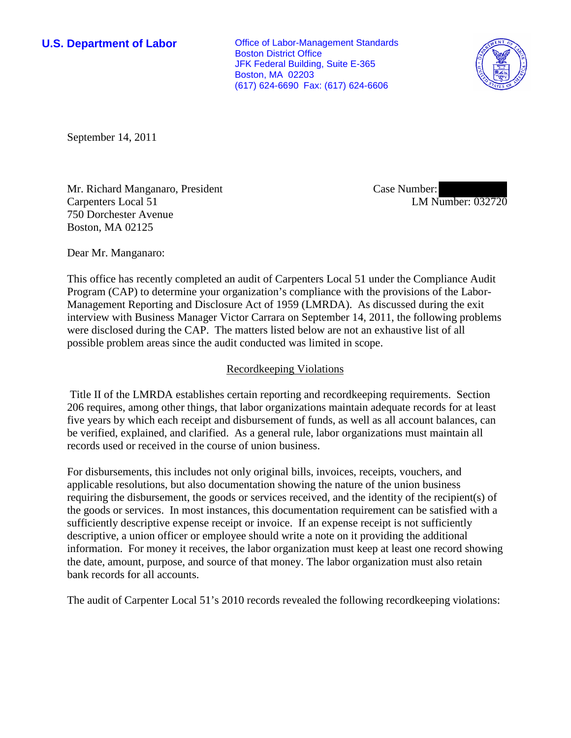**U.S. Department of Labor Office of Labor-Management Standards** Boston District Office JFK Federal Building, Suite E-365 Boston, MA 02203 (617) 624-6690 Fax: (617) 624-6606



September 14, 2011

Mr. Richard Manganaro, President Carpenters Local 51 750 Dorchester Avenue Boston, MA 02125

Case Number: LM Number: 032720

Dear Mr. Manganaro:

This office has recently completed an audit of Carpenters Local 51 under the Compliance Audit Program (CAP) to determine your organization's compliance with the provisions of the Labor-Management Reporting and Disclosure Act of 1959 (LMRDA). As discussed during the exit interview with Business Manager Victor Carrara on September 14, 2011, the following problems were disclosed during the CAP. The matters listed below are not an exhaustive list of all possible problem areas since the audit conducted was limited in scope.

## Recordkeeping Violations

 Title II of the LMRDA establishes certain reporting and recordkeeping requirements. Section 206 requires, among other things, that labor organizations maintain adequate records for at least five years by which each receipt and disbursement of funds, as well as all account balances, can be verified, explained, and clarified. As a general rule, labor organizations must maintain all records used or received in the course of union business.

For disbursements, this includes not only original bills, invoices, receipts, vouchers, and applicable resolutions, but also documentation showing the nature of the union business requiring the disbursement, the goods or services received, and the identity of the recipient(s) of the goods or services. In most instances, this documentation requirement can be satisfied with a sufficiently descriptive expense receipt or invoice. If an expense receipt is not sufficiently descriptive, a union officer or employee should write a note on it providing the additional information. For money it receives, the labor organization must keep at least one record showing the date, amount, purpose, and source of that money. The labor organization must also retain bank records for all accounts.

The audit of Carpenter Local 51's 2010 records revealed the following recordkeeping violations: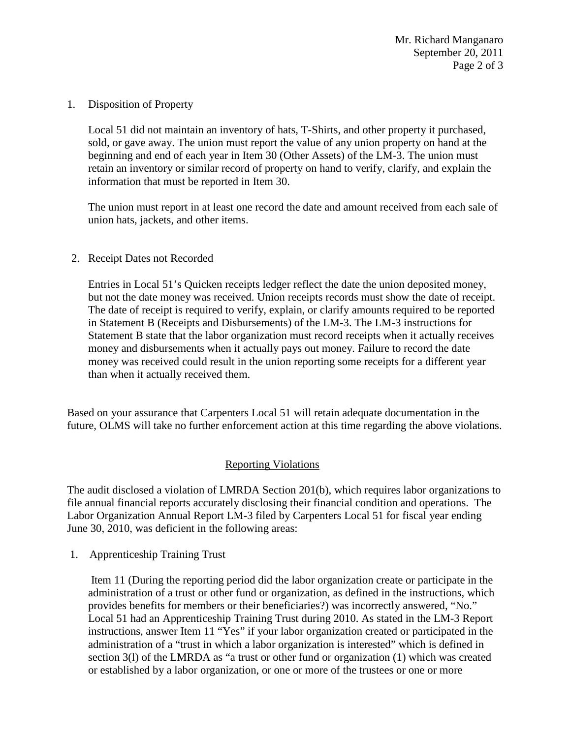1. Disposition of Property

Local 51 did not maintain an inventory of hats, T-Shirts, and other property it purchased, sold, or gave away. The union must report the value of any union property on hand at the beginning and end of each year in Item 30 (Other Assets) of the LM-3. The union must retain an inventory or similar record of property on hand to verify, clarify, and explain the information that must be reported in Item 30.

The union must report in at least one record the date and amount received from each sale of union hats, jackets, and other items.

2. Receipt Dates not Recorded

Entries in Local 51's Quicken receipts ledger reflect the date the union deposited money, but not the date money was received. Union receipts records must show the date of receipt. The date of receipt is required to verify, explain, or clarify amounts required to be reported in Statement B (Receipts and Disbursements) of the LM-3. The LM-3 instructions for Statement B state that the labor organization must record receipts when it actually receives money and disbursements when it actually pays out money. Failure to record the date money was received could result in the union reporting some receipts for a different year than when it actually received them.

Based on your assurance that Carpenters Local 51 will retain adequate documentation in the future, OLMS will take no further enforcement action at this time regarding the above violations.

## Reporting Violations

The audit disclosed a violation of LMRDA Section 201(b), which requires labor organizations to file annual financial reports accurately disclosing their financial condition and operations. The Labor Organization Annual Report LM-3 filed by Carpenters Local 51 for fiscal year ending June 30, 2010, was deficient in the following areas:

1. Apprenticeship Training Trust

Item 11 (During the reporting period did the labor organization create or participate in the administration of a trust or other fund or organization, as defined in the instructions, which provides benefits for members or their beneficiaries?) was incorrectly answered, "No." Local 51 had an Apprenticeship Training Trust during 2010. As stated in the LM-3 Report instructions, answer Item 11 "Yes" if your labor organization created or participated in the administration of a "trust in which a labor organization is interested" which is defined in section 3(l) of the LMRDA as "a trust or other fund or organization (1) which was created or established by a labor organization, or one or more of the trustees or one or more